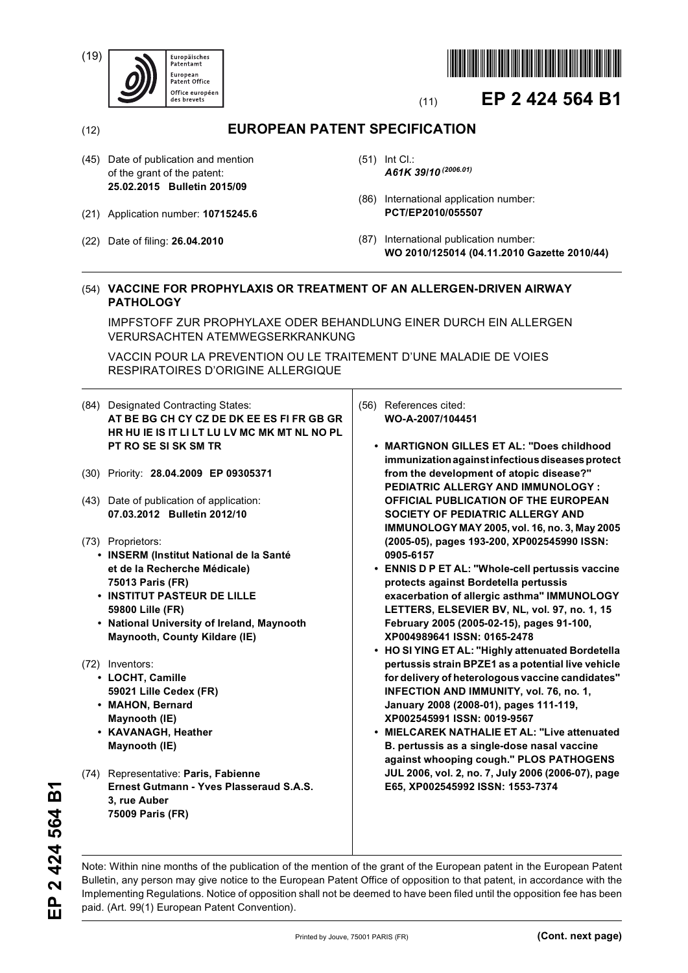(19)





# (11) **EP 2 424 564 B1**

(12) **EUROPEAN PATENT SPECIFICATION**

- (45) Date of publication and mention of the grant of the patent: **25.02.2015 Bulletin 2015/09**
- (21) Application number: **10715245.6**
- (22) Date of filing: **26.04.2010**
- (51) Int Cl.: *A61K 39/10 (2006.01)*
- (86) International application number: **PCT/EP2010/055507**
- (87) International publication number: **WO 2010/125014 (04.11.2010 Gazette 2010/44)**

# (54) **VACCINE FOR PROPHYLAXIS OR TREATMENT OF AN ALLERGEN-DRIVEN AIRWAY PATHOLOGY**

IMPFSTOFF ZUR PROPHYLAXE ODER BEHANDLUNG EINER DURCH EIN ALLERGEN VERURSACHTEN ATEMWEGSERKRANKUNG

VACCIN POUR LA PREVENTION OU LE TRAITEMENT D'UNE MALADIE DE VOIES RESPIRATOIRES D'ORIGINE ALLERGIQUE

- (84) Designated Contracting States: **AT BE BG CH CY CZ DE DK EE ES FI FR GB GR HR HU IE IS IT LI LT LU LV MC MK MT NL NO PL PT RO SE SI SK SM TR**
- (30) Priority: **28.04.2009 EP 09305371**
- (43) Date of publication of application: **07.03.2012 Bulletin 2012/10**
- (73) Proprietors:
	- **INSERM (Institut National de la Santé et de la Recherche Médicale) 75013 Paris (FR)**
	- **INSTITUT PASTEUR DE LILLE 59800 Lille (FR)**
	- **National University of Ireland, Maynooth Maynooth, County Kildare (IE)**
- (72) Inventors:
	- **LOCHT, Camille 59021 Lille Cedex (FR)**
	- **MAHON, Bernard Maynooth (IE)**
	- **KAVANAGH, Heather Maynooth (IE)**
- (74) Representative: **Paris, Fabienne Ernest Gutmann - Yves Plasseraud S.A.S. 3, rue Auber 75009 Paris (FR)**
- (56) References cited: **WO-A-2007/104451** 
	- **MARTIGNON GILLES ET AL: "Does childhood immunization against infectious diseases protect from the development of atopic disease?" PEDIATRIC ALLERGY AND IMMUNOLOGY : OFFICIAL PUBLICATION OF THE EUROPEAN SOCIETY OF PEDIATRIC ALLERGY AND IMMUNOLOGY MAY 2005, vol. 16, no. 3, May 2005 (2005-05), pages 193-200, XP002545990 ISSN: 0905-6157**
	- **ENNIS D P ET AL: "Whole-cell pertussis vaccine protects against Bordetella pertussis exacerbation of allergic asthma" IMMUNOLOGY LETTERS, ELSEVIER BV, NL, vol. 97, no. 1, 15 February 2005 (2005-02-15), pages 91-100, XP004989641 ISSN: 0165-2478**
	- **HO SI YING ET AL: "Highly attenuated Bordetella pertussis strain BPZE1 as a potential live vehicle for delivery of heterologous vaccine candidates" INFECTION AND IMMUNITY, vol. 76, no. 1, January 2008 (2008-01), pages 111-119, XP002545991 ISSN: 0019-9567**
	- **MIELCAREK NATHALIE ET AL: "Live attenuated B. pertussis as a single-dose nasal vaccine against whooping cough." PLOS PATHOGENS JUL 2006, vol. 2, no. 7, July 2006 (2006-07), page E65, XP002545992 ISSN: 1553-7374**

Note: Within nine months of the publication of the mention of the grant of the European patent in the European Patent Bulletin, any person may give notice to the European Patent Office of opposition to that patent, in accordance with the Implementing Regulations. Notice of opposition shall not be deemed to have been filed until the opposition fee has been paid. (Art. 99(1) European Patent Convention).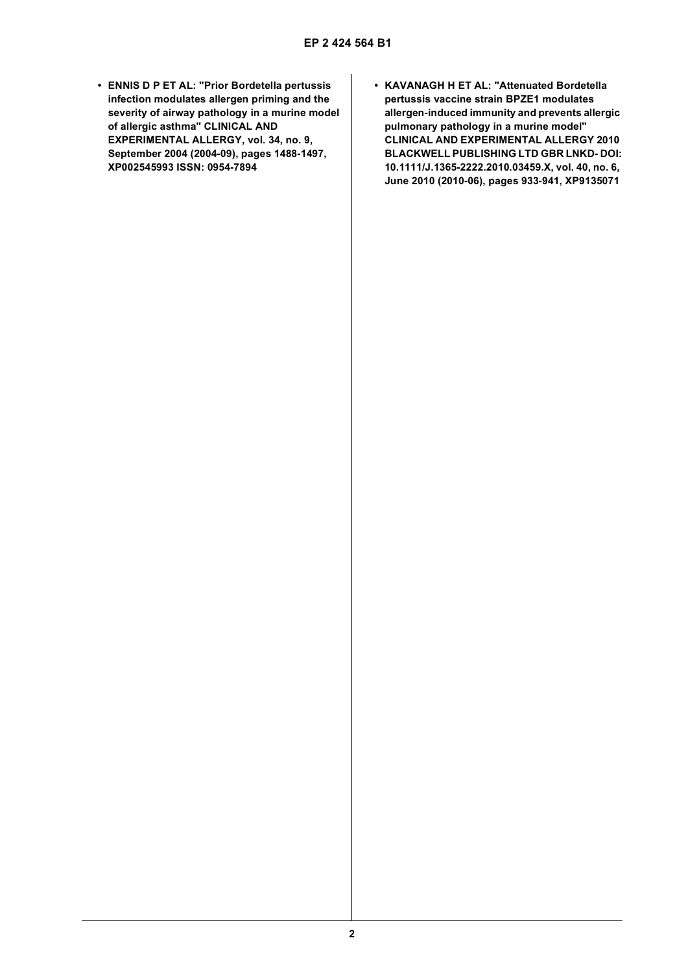- **ENNIS D P ET AL: "Prior Bordetella pertussis infection modulates allergen priming and the severity of airway pathology in a murine model of allergic asthma" CLINICAL AND EXPERIMENTAL ALLERGY, vol. 34, no. 9, September 2004 (2004-09), pages 1488-1497, XP002545993 ISSN: 0954-7894**
- **KAVANAGH H ET AL: "Attenuated Bordetella pertussis vaccine strain BPZE1 modulates allergen-induced immunity and prevents allergic pulmonary pathology in a murine model" CLINICAL AND EXPERIMENTAL ALLERGY 2010 BLACKWELL PUBLISHING LTD GBR LNKD- DOI: 10.1111/J.1365-2222.2010.03459.X, vol. 40, no. 6, June 2010 (2010-06), pages 933-941, XP9135071**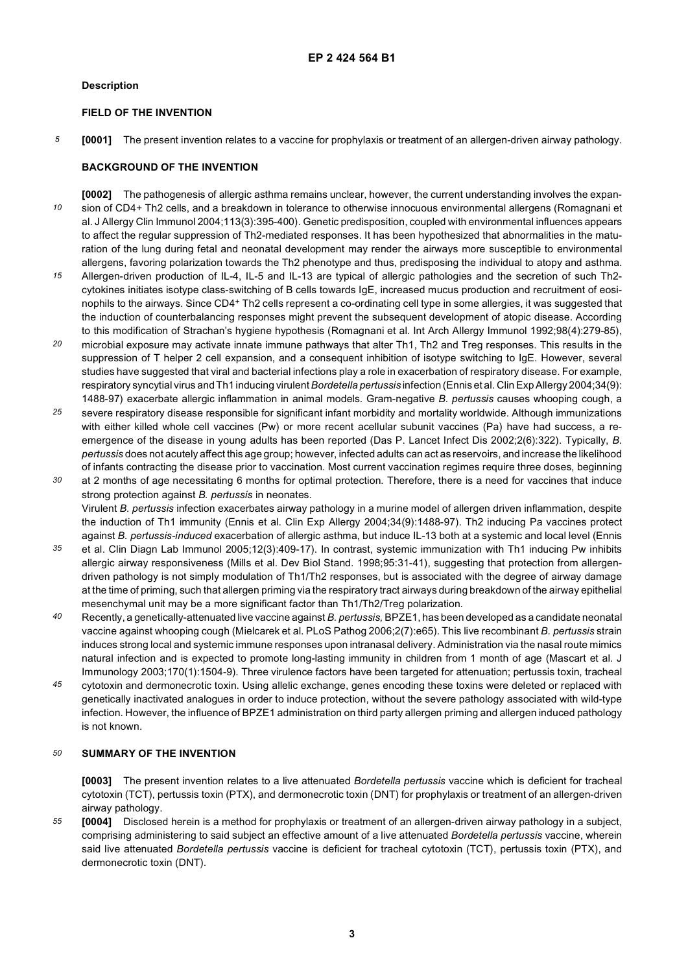# **Description**

# **FIELD OF THE INVENTION**

*5* **[0001]** The present invention relates to a vaccine for prophylaxis or treatment of an allergen-driven airway pathology.

# **BACKGROUND OF THE INVENTION**

*10* **[0002]** The pathogenesis of allergic asthma remains unclear, however, the current understanding involves the expansion of CD4+ Th2 cells, and a breakdown in tolerance to otherwise innocuous environmental allergens (Romagnani et al. J Allergy Clin Immunol 2004;113(3):395-400). Genetic predisposition, coupled with environmental influences appears to affect the regular suppression of Th2-mediated responses. It has been hypothesized that abnormalities in the maturation of the lung during fetal and neonatal development may render the airways more susceptible to environmental allergens, favoring polarization towards the Th2 phenotype and thus, predisposing the individual to atopy and asthma.

- *15* Allergen-driven production of IL-4, IL-5 and IL-13 are typical of allergic pathologies and the secretion of such Th2 cytokines initiates isotype class-switching of B cells towards IgE, increased mucus production and recruitment of eosinophils to the airways. Since CD4+ Th2 cells represent a co-ordinating cell type in some allergies, it was suggested that the induction of counterbalancing responses might prevent the subsequent development of atopic disease. According to this modification of Strachan's hygiene hypothesis (Romagnani et al. Int Arch Allergy Immunol 1992;98(4):279-85),
- *20* microbial exposure may activate innate immune pathways that alter Th1, Th2 and Treg responses. This results in the suppression of T helper 2 cell expansion, and a consequent inhibition of isotype switching to IgE. However, several studies have suggested that viral and bacterial infections play a role in exacerbation of respiratory disease. For example, respiratory syncytial virus and Th1 inducing virulent *Bordetella pertussis* infection (Ennis et al. Clin Exp Allergy 2004;34(9): 1488-97) exacerbate allergic inflammation in animal models. Gram-negative *B. pertussis* causes whooping cough, a
- *25* severe respiratory disease responsible for significant infant morbidity and mortality worldwide. Although immunizations with either killed whole cell vaccines (Pw) or more recent acellular subunit vaccines (Pa) have had success, a reemergence of the disease in young adults has been reported (Das P. Lancet Infect Dis 2002;2(6):322). Typically, *B. pertussis* does not acutely affect this age group; however, infected adults can act as reservoirs, and increase the likelihood of infants contracting the disease prior to vaccination. Most current vaccination regimes require three doses, beginning
- *30* at 2 months of age necessitating 6 months for optimal protection. Therefore, there is a need for vaccines that induce strong protection against *B. pertussis* in neonates. Virulent *B. pertussis* infection exacerbates airway pathology in a murine model of allergen driven inflammation, despite the induction of Th1 immunity (Ennis et al. Clin Exp Allergy 2004;34(9):1488-97). Th2 inducing Pa vaccines protect against *B. pertussis-induced* exacerbation of allergic asthma, but induce IL-13 both at a systemic and local level (Ennis
- *35* et al. Clin Diagn Lab Immunol 2005;12(3):409-17). In contrast, systemic immunization with Th1 inducing Pw inhibits allergic airway responsiveness (Mills et al. Dev Biol Stand. 1998;95:31-41), suggesting that protection from allergendriven pathology is not simply modulation of Th1/Th2 responses, but is associated with the degree of airway damage at the time of priming, such that allergen priming via the respiratory tract airways during breakdown of the airway epithelial mesenchymal unit may be a more significant factor than Th1/Th2/Treg polarization.
- *40* Recently, a genetically-attenuated live vaccine against *B. pertussis,* BPZE1, has been developed as a candidate neonatal vaccine against whooping cough (Mielcarek et al. PLoS Pathog 2006;2(7):e65). This live recombinant *B. pertussis* strain induces strong local and systemic immune responses upon intranasal delivery. Administration via the nasal route mimics natural infection and is expected to promote long-lasting immunity in children from 1 month of age (Mascart et al. J Immunology 2003;170(1):1504-9). Three virulence factors have been targeted for attenuation; pertussis toxin, tracheal
- *45* cytotoxin and dermonecrotic toxin. Using allelic exchange, genes encoding these toxins were deleted or replaced with genetically inactivated analogues in order to induce protection, without the severe pathology associated with wild-type infection. However, the influence of BPZE1 administration on third party allergen priming and allergen induced pathology is not known.

#### *50* **SUMMARY OF THE INVENTION**

**[0003]** The present invention relates to a live attenuated *Bordetella pertussis* vaccine which is deficient for tracheal cytotoxin (TCT), pertussis toxin (PTX), and dermonecrotic toxin (DNT) for prophylaxis or treatment of an allergen-driven airway pathology.

*55* **[0004]** Disclosed herein is a method for prophylaxis or treatment of an allergen-driven airway pathology in a subject, comprising administering to said subject an effective amount of a live attenuated *Bordetella pertussis* vaccine, wherein said live attenuated *Bordetella pertussis* vaccine is deficient for tracheal cytotoxin (TCT), pertussis toxin (PTX), and dermonecrotic toxin (DNT).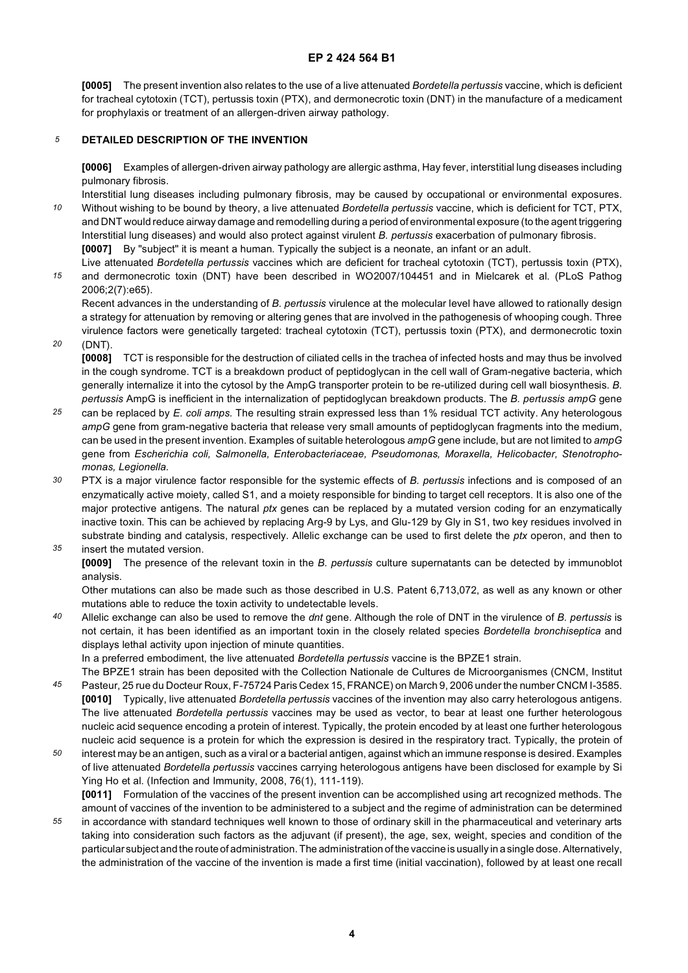**[0005]** The present invention also relates to the use of a live attenuated *Bordetella pertussis* vaccine, which is deficient for tracheal cytotoxin (TCT), pertussis toxin (PTX), and dermonecrotic toxin (DNT) in the manufacture of a medicament for prophylaxis or treatment of an allergen-driven airway pathology.

#### *5* **DETAILED DESCRIPTION OF THE INVENTION**

**[0006]** Examples of allergen-driven airway pathology are allergic asthma, Hay fever, interstitial lung diseases including pulmonary fibrosis.

*10* Interstitial lung diseases including pulmonary fibrosis, may be caused by occupational or environmental exposures. Without wishing to be bound by theory, a live attenuated *Bordetella pertussis* vaccine, which is deficient for TCT, PTX, and DNT would reduce airway damage and remodelling during a period of environmental exposure (to the agent triggering Interstitial lung diseases) and would also protect against virulent *B. pertussis* exacerbation of pulmonary fibrosis. **[0007]** By "subject" it is meant a human. Typically the subject is a neonate, an infant or an adult.

*15* Live attenuated *Bordetella pertussis* vaccines which are deficient for tracheal cytotoxin (TCT), pertussis toxin (PTX), and dermonecrotic toxin (DNT) have been described in WO2007/104451 and in Mielcarek et al. (PLoS Pathog 2006;2(7):e65).

Recent advances in the understanding of *B. pertussis* virulence at the molecular level have allowed to rationally design a strategy for attenuation by removing or altering genes that are involved in the pathogenesis of whooping cough. Three virulence factors were genetically targeted: tracheal cytotoxin (TCT), pertussis toxin (PTX), and dermonecrotic toxin

*20* (DNT).

> **[0008]** TCT is responsible for the destruction of ciliated cells in the trachea of infected hosts and may thus be involved in the cough syndrome. TCT is a breakdown product of peptidoglycan in the cell wall of Gram-negative bacteria, which generally internalize it into the cytosol by the AmpG transporter protein to be re-utilized during cell wall biosynthesis. *B. pertussis* AmpG is inefficient in the internalization of peptidoglycan breakdown products. The *B. pertussis ampG* gene

- *25* can be replaced by *E. coli amps.* The resulting strain expressed less than 1% residual TCT activity. Any heterologous *ampG* gene from gram-negative bacteria that release very small amounts of peptidoglycan fragments into the medium, can be used in the present invention. Examples of suitable heterologous *ampG* gene include, but are not limited to *ampG* gene from *Escherichia coli, Salmonella, Enterobacteriaceae, Pseudomonas, Moraxella, Helicobacter, Stenotrophomonas, Legionella.*
- *30 35* PTX is a major virulence factor responsible for the systemic effects of *B. pertussis* infections and is composed of an enzymatically active moiety, called S1, and a moiety responsible for binding to target cell receptors. It is also one of the major protective antigens. The natural *ptx* genes can be replaced by a mutated version coding for an enzymatically inactive toxin. This can be achieved by replacing Arg-9 by Lys, and Glu-129 by Gly in S1, two key residues involved in substrate binding and catalysis, respectively. Allelic exchange can be used to first delete the *ptx* operon, and then to insert the mutated version.
	- **[0009]** The presence of the relevant toxin in the *B. pertussis* culture supernatants can be detected by immunoblot analysis.

Other mutations can also be made such as those described in U.S. Patent 6,713,072, as well as any known or other mutations able to reduce the toxin activity to undetectable levels.

*40* Allelic exchange can also be used to remove the *dnt* gene. Although the role of DNT in the virulence of *B. pertussis* is not certain, it has been identified as an important toxin in the closely related species *Bordetella bronchiseptica* and displays lethal activity upon injection of minute quantities.

In a preferred embodiment, the live attenuated *Bordetella pertussis* vaccine is the BPZE1 strain.

*45* The BPZE1 strain has been deposited with the Collection Nationale de Cultures de Microorganismes (CNCM, Institut Pasteur, 25 rue du Docteur Roux, F-75724 Paris Cedex 15, FRANCE) on March 9, 2006 under the number CNCM I-3585. **[0010]** Typically, live attenuated *Bordetella pertussis* vaccines of the invention may also carry heterologous antigens. The live attenuated *Bordetella pertussis* vaccines may be used as vector, to bear at least one further heterologous nucleic acid sequence encoding a protein of interest. Typically, the protein encoded by at least one further heterologous

*50* nucleic acid sequence is a protein for which the expression is desired in the respiratory tract. Typically, the protein of interest may be an antigen, such as a viral or a bacterial antigen, against which an immune response is desired. Examples of live attenuated *Bordetella pertussis* vaccines carrying heterologous antigens have been disclosed for example by Si Ying Ho et al. (Infection and Immunity, 2008, 76(1), 111-119).

*55* **[0011]** Formulation of the vaccines of the present invention can be accomplished using art recognized methods. The amount of vaccines of the invention to be administered to a subject and the regime of administration can be determined in accordance with standard techniques well known to those of ordinary skill in the pharmaceutical and veterinary arts taking into consideration such factors as the adjuvant (if present), the age, sex, weight, species and condition of the particular subject and the route of administration. The administration of the vaccine is usually in a single dose. Alternatively, the administration of the vaccine of the invention is made a first time (initial vaccination), followed by at least one recall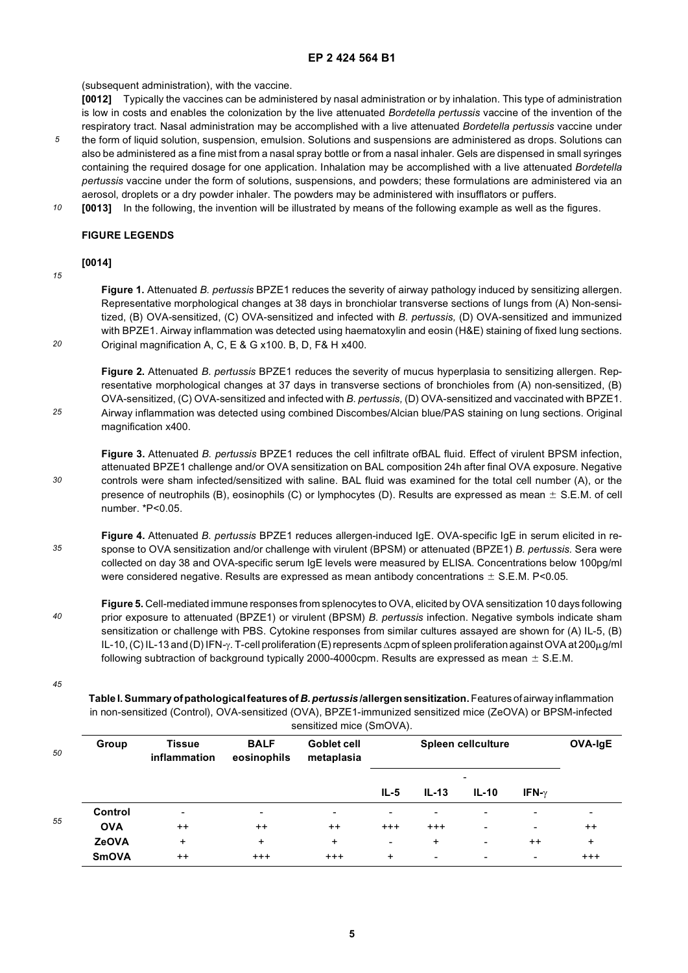(subsequent administration), with the vaccine.

**[0012]** Typically the vaccines can be administered by nasal administration or by inhalation. This type of administration is low in costs and enables the colonization by the live attenuated *Bordetella pertussis* vaccine of the invention of the respiratory tract. Nasal administration may be accomplished with a live attenuated *Bordetella pertussis* vaccine under

- *5* the form of liquid solution, suspension, emulsion. Solutions and suspensions are administered as drops. Solutions can also be administered as a fine mist from a nasal spray bottle or from a nasal inhaler. Gels are dispensed in small syringes containing the required dosage for one application. Inhalation may be accomplished with a live attenuated *Bordetella pertussis* vaccine under the form of solutions, suspensions, and powders; these formulations are administered via an aerosol, droplets or a dry powder inhaler. The powders may be administered with insufflators or puffers.
- *10* **[0013]** In the following, the invention will be illustrated by means of the following example as well as the figures.

# **FIGURE LEGENDS**

#### *15* **[0014]**

*20*

*25*

*30*

**Figure 1.** Attenuated *B. pertussis* BPZE1 reduces the severity of airway pathology induced by sensitizing allergen. Representative morphological changes at 38 days in bronchiolar transverse sections of lungs from (A) Non-sensitized, (B) OVA-sensitized, (C) OVA-sensitized and infected with *B. pertussis,* (D) OVA-sensitized and immunized with BPZE1. Airway inflammation was detected using haematoxylin and eosin (H&E) staining of fixed lung sections. Original magnification A, C, E & G x100. B, D, F& H x400.

**Figure 2.** Attenuated *B. pertussis* BPZE1 reduces the severity of mucus hyperplasia to sensitizing allergen. Representative morphological changes at 37 days in transverse sections of bronchioles from (A) non-sensitized, (B) OVA-sensitized, (C) OVA-sensitized and infected with *B. pertussis,* (D) OVA-sensitized and vaccinated with BPZE1. Airway inflammation was detected using combined Discombes/Alcian blue/PAS staining on lung sections. Original magnification x400.

**Figure 3.** Attenuated *B. pertussis* BPZE1 reduces the cell infiltrate ofBAL fluid. Effect of virulent BPSM infection, attenuated BPZE1 challenge and/or OVA sensitization on BAL composition 24h after final OVA exposure. Negative controls were sham infected/sensitized with saline. BAL fluid was examined for the total cell number (A), or the presence of neutrophils (B), eosinophils (C) or lymphocytes (D). Results are expressed as mean  $\pm$  S.E.M. of cell number. \*P<0.05.

*35* **Figure 4.** Attenuated *B. pertussis* BPZE1 reduces allergen-induced IgE. OVA-specific IgE in serum elicited in response to OVA sensitization and/or challenge with virulent (BPSM) or attenuated (BPZE1) *B. pertussis.* Sera were collected on day 38 and OVA-specific serum IgE levels were measured by ELISA. Concentrations below 100pg/ml were considered negative. Results are expressed as mean antibody concentrations  $\pm$  S.E.M. P<0.05.

*40* **Figure 5.** Cell-mediated immune responses from splenocytes to OVA, elicited by OVA sensitization 10 days following prior exposure to attenuated (BPZE1) or virulent (BPSM) *B. pertussis* infection. Negative symbols indicate sham sensitization or challenge with PBS. Cytokine responses from similar cultures assayed are shown for (A) IL-5, (B) IL-10, (C) IL-13 and (D) IFN-γ. T-cell proliferation (E) represents Δcpm of spleen proliferation against OVA at 200µg/ml following subtraction of background typically 2000-4000cpm. Results are expressed as mean  $\pm$  S.E.M.

*45*

**Table I. Summary of pathological features of** *B. pertussis* **/allergen sensitization.** Features of airway inflammation in non-sensitized (Control), OVA-sensitized (OVA), BPZE1-immunized sensitized mice (ZeOVA) or BPSM-infected sensitized mice (SmOVA).

|    |              |                                      |                            | SCIISILLED IIIIUC (SIIIUVA). |                          |                |                          |                          |                          |
|----|--------------|--------------------------------------|----------------------------|------------------------------|--------------------------|----------------|--------------------------|--------------------------|--------------------------|
| 50 | Group        | <b>Tissue</b><br><b>inflammation</b> | <b>BALF</b><br>eosinophils | Goblet cell<br>metaplasia    | Spleen cellculture       |                |                          |                          | OVA-IgE                  |
|    |              |                                      |                            |                              | $IL-5$                   | $IL-13$        | $IL-10$                  | IFN- $\nu$               |                          |
|    | Control      | $\overline{\phantom{0}}$             | -                          | $\blacksquare$               | $\overline{\phantom{a}}$ | -              | $\overline{\phantom{0}}$ | $\overline{\phantom{0}}$ | $\overline{\phantom{a}}$ |
| 55 | <b>OVA</b>   | $++$                                 | $++$                       | $^{++}$                      | $^{+++}$                 | $^{+++}$       | $\overline{\phantom{0}}$ | $\overline{\phantom{a}}$ | $^{++}$                  |
|    | <b>ZeOVA</b> | $\ddot{}$                            | $\ddot{}$                  | $\ddot{}$                    | $\blacksquare$           | $\ddot{}$      | $\overline{\phantom{a}}$ | $^{++}$                  | $\ddot{}$                |
|    | <b>SmOVA</b> | $^{++}$                              | $+++$                      | $+++$                        | $\ddot{}$                | $\blacksquare$ | $\overline{\phantom{a}}$ | $\blacksquare$           | $+ + +$                  |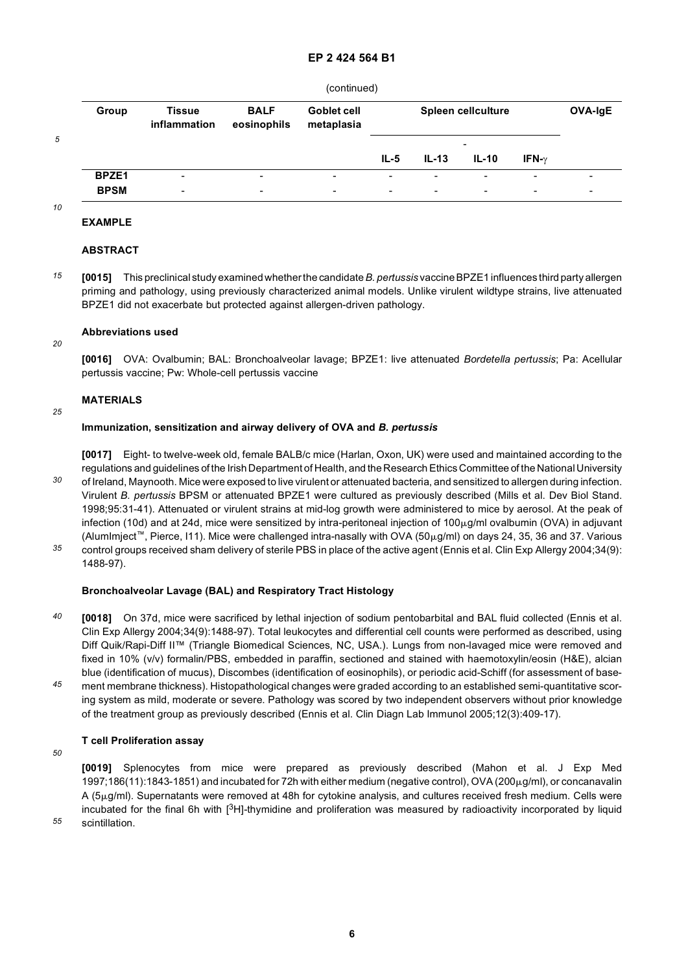|  | (continued) |
|--|-------------|
|  |             |

| Group       | <b>Tissue</b><br>inflammation | <b>BALF</b><br>eosinophils | Goblet cell<br>metaplasia | Spleen cellculture |                |                            |                          | <b>OVA-IgE</b> |
|-------------|-------------------------------|----------------------------|---------------------------|--------------------|----------------|----------------------------|--------------------------|----------------|
|             |                               |                            |                           | IL-5               | $IL-13$        | $\qquad \qquad$<br>$IL-10$ | IFN- $\nu$               |                |
| BPZE1       | $\overline{\phantom{0}}$      | $\overline{\phantom{a}}$   | $\qquad \qquad$           | $\blacksquare$     | $\blacksquare$ | ۰.                         | $\overline{\phantom{0}}$ | -              |
| <b>BPSM</b> |                               |                            |                           |                    |                |                            |                          |                |

*10*

*20*

*25*

*5*

#### **EXAMPLE**

## **ABSTRACT**

*15* **[0015]** This preclinical study examined whether the candidate *B. pertussis* vaccine BPZE1 influences third party allergen priming and pathology, using previously characterized animal models. Unlike virulent wildtype strains, live attenuated BPZE1 did not exacerbate but protected against allergen-driven pathology.

#### **Abbreviations used**

**[0016]** OVA: Ovalbumin; BAL: Bronchoalveolar lavage; BPZE1: live attenuated *Bordetella pertussis*; Pa: Acellular pertussis vaccine; Pw: Whole-cell pertussis vaccine

# **MATERIALS**

#### **Immunization, sensitization and airway delivery of OVA and** *B. pertussis*

*30 35* **[0017]** Eight- to twelve-week old, female BALB/c mice (Harlan, Oxon, UK) were used and maintained according to the regulations and guidelines of the Irish Department of Health, and the Research Ethics Committee of the National University of Ireland, Maynooth. Mice were exposed to live virulent or attenuated bacteria, and sensitized to allergen during infection. Virulent *B. pertussis* BPSM or attenuated BPZE1 were cultured as previously described (Mills et al. Dev Biol Stand. 1998;95:31-41). Attenuated or virulent strains at mid-log growth were administered to mice by aerosol. At the peak of infection (10d) and at 24d, mice were sensitized by intra-peritoneal injection of  $100\mu g/m$ l ovalbumin (OVA) in adjuvant (AlumImject<sup>™</sup>, Pierce, I11). Mice were challenged intra-nasally with OVA (50µg/ml) on days 24, 35, 36 and 37. Various control groups received sham delivery of sterile PBS in place of the active agent (Ennis et al. Clin Exp Allergy 2004;34(9):

1488-97).

# **Bronchoalveolar Lavage (BAL) and Respiratory Tract Histology**

- *40* **[0018]** On 37d, mice were sacrificed by lethal injection of sodium pentobarbital and BAL fluid collected (Ennis et al. Clin Exp Allergy 2004;34(9):1488-97). Total leukocytes and differential cell counts were performed as described, using Diff Quik/Rapi-Diff II™ (Triangle Biomedical Sciences, NC, USA.). Lungs from non-lavaged mice were removed and fixed in 10% (v/v) formalin/PBS, embedded in paraffin, sectioned and stained with haemotoxylin/eosin (H&E), alcian blue (identification of mucus), Discombes (identification of eosinophils), or periodic acid-Schiff (for assessment of base-
- *45* ment membrane thickness). Histopathological changes were graded according to an established semi-quantitative scoring system as mild, moderate or severe. Pathology was scored by two independent observers without prior knowledge of the treatment group as previously described (Ennis et al. Clin Diagn Lab Immunol 2005;12(3):409-17).

# **T cell Proliferation assay**

*50*

**[0019]** Splenocytes from mice were prepared as previously described (Mahon et al. J Exp Med  $1997;186(11):1843-1851$  and incubated for 72h with either medium (negative control), OVA (200 $\mu$ g/ml), or concanavalin A (5mg/ml). Supernatants were removed at 48h for cytokine analysis, and cultures received fresh medium. Cells were incubated for the final 6h with [3H]-thymidine and proliferation was measured by radioactivity incorporated by liquid scintillation.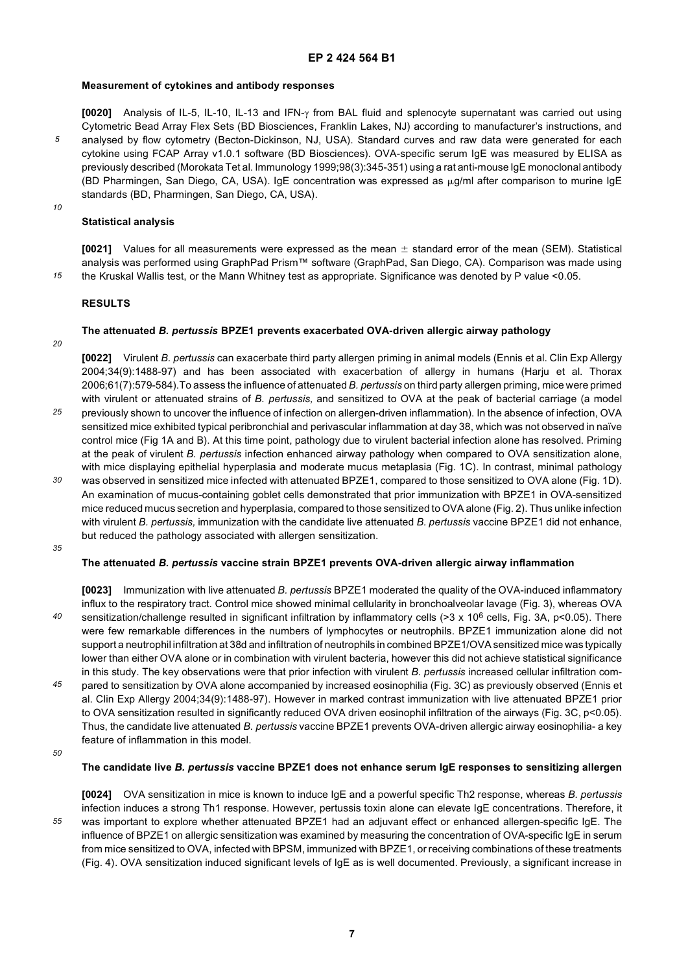#### **Measurement of cytokines and antibody responses**

**[0020]** Analysis of IL-5, IL-10, IL-13 and IFN-γ from BAL fluid and splenocyte supernatant was carried out using Cytometric Bead Array Flex Sets (BD Biosciences, Franklin Lakes, NJ) according to manufacturer's instructions, and analysed by flow cytometry (Becton-Dickinson, NJ, USA). Standard curves and raw data were generated for each cytokine using FCAP Array v1.0.1 software (BD Biosciences). OVA-specific serum IgE was measured by ELISA as previously described (Morokata Tet al. Immunology 1999;98(3):345-351) using a rat anti-mouse IgE monoclonal antibody (BD Pharmingen, San Diego, CA, USA). IgE concentration was expressed as  $\mu$ g/ml after comparison to murine IgE standards (BD, Pharmingen, San Diego, CA, USA).

#### *10*

*15*

*5*

# **Statistical analysis**

**[0021]** Values for all measurements were expressed as the mean  $\pm$  standard error of the mean (SEM). Statistical analysis was performed using GraphPad Prism™ software (GraphPad, San Diego, CA). Comparison was made using the Kruskal Wallis test, or the Mann Whitney test as appropriate. Significance was denoted by P value <0.05.

## **RESULTS**

# **The attenuated** *B. pertussis* **BPZE1 prevents exacerbated OVA-driven allergic airway pathology**

*20*

**[0022]** Virulent *B. pertussis* can exacerbate third party allergen priming in animal models (Ennis et al. Clin Exp Allergy 2004;34(9):1488-97) and has been associated with exacerbation of allergy in humans (Harju et al. Thorax 2006;61(7):579-584).To assess the influence of attenuated *B. pertussis* on third party allergen priming, mice were primed with virulent or attenuated strains of *B. pertussis,* and sensitized to OVA at the peak of bacterial carriage (a model

- *25* previously shown to uncover the influence of infection on allergen-driven inflammation). In the absence of infection, OVA sensitized mice exhibited typical peribronchial and perivascular inflammation at day 38, which was not observed in naïve control mice (Fig 1A and B). At this time point, pathology due to virulent bacterial infection alone has resolved. Priming at the peak of virulent *B. pertussis* infection enhanced airway pathology when compared to OVA sensitization alone, with mice displaying epithelial hyperplasia and moderate mucus metaplasia (Fig. 1C). In contrast, minimal pathology
- *30* was observed in sensitized mice infected with attenuated BPZE1, compared to those sensitized to OVA alone (Fig. 1D). An examination of mucus-containing goblet cells demonstrated that prior immunization with BPZE1 in OVA-sensitized mice reduced mucus secretion and hyperplasia, compared to those sensitized to OVA alone (Fig. 2). Thus unlike infection with virulent *B. pertussis,* immunization with the candidate live attenuated *B. pertussis* vaccine BPZE1 did not enhance, but reduced the pathology associated with allergen sensitization.
- *35*

#### **The attenuated** *B. pertussis* **vaccine strain BPZE1 prevents OVA-driven allergic airway inflammation**

*40 45* **[0023]** Immunization with live attenuated *B. pertussis* BPZE1 moderated the quality of the OVA-induced inflammatory influx to the respiratory tract. Control mice showed minimal cellularity in bronchoalveolar lavage (Fig. 3), whereas OVA sensitization/challenge resulted in significant infiltration by inflammatory cells (>3 x 10<sup>6</sup> cells, Fig. 3A, p<0.05). There were few remarkable differences in the numbers of lymphocytes or neutrophils. BPZE1 immunization alone did not support a neutrophil infiltration at 38d and infiltration of neutrophils in combined BPZE1/OVA sensitized mice was typically lower than either OVA alone or in combination with virulent bacteria, however this did not achieve statistical significance in this study. The key observations were that prior infection with virulent *B. pertussis* increased cellular infiltration compared to sensitization by OVA alone accompanied by increased eosinophilia (Fig. 3C) as previously observed (Ennis et al. Clin Exp Allergy 2004;34(9):1488-97). However in marked contrast immunization with live attenuated BPZE1 prior to OVA sensitization resulted in significantly reduced OVA driven eosinophil infiltration of the airways (Fig. 3C, p<0.05). Thus, the candidate live attenuated *B. pertussis* vaccine BPZE1 prevents OVA-driven allergic airway eosinophilia- a key

feature of inflammation in this model.

# **The candidate live** *B. pertussis* **vaccine BPZE1 does not enhance serum IgE responses to sensitizing allergen**

*55*

**[0024]** OVA sensitization in mice is known to induce IgE and a powerful specific Th2 response, whereas *B. pertussis* infection induces a strong Th1 response. However, pertussis toxin alone can elevate IgE concentrations. Therefore, it was important to explore whether attenuated BPZE1 had an adjuvant effect or enhanced allergen-specific IgE. The influence of BPZE1 on allergic sensitization was examined by measuring the concentration of OVA-specific IgE in serum from mice sensitized to OVA, infected with BPSM, immunized with BPZE1, or receiving combinations of these treatments (Fig. 4). OVA sensitization induced significant levels of IgE as is well documented. Previously, a significant increase in

*<sup>50</sup>*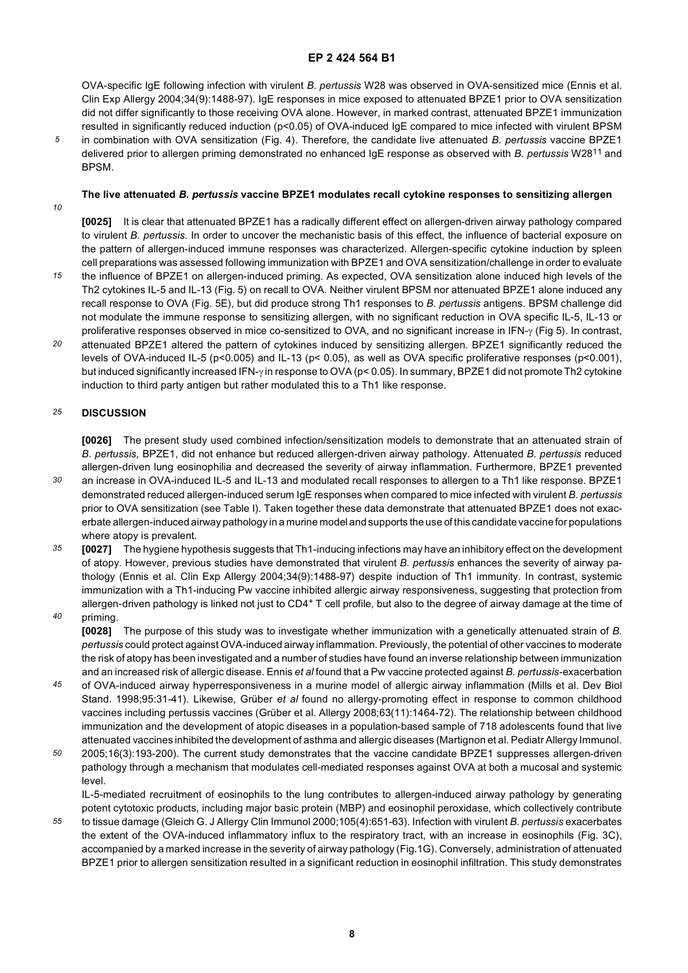OVA-specific IgE following infection with virulent *B. pertussis* W28 was observed in OVA-sensitized mice (Ennis et al. Clin Exp Allergy 2004;34(9):1488-97). IgE responses in mice exposed to attenuated BPZE1 prior to OVA sensitization did not differ significantly to those receiving OVA alone. However, in marked contrast, attenuated BPZE1 immunization resulted in significantly reduced induction (p<0.05) of OVA-induced IgE compared to mice infected with virulent BPSM

*5* in combination with OVA sensitization (Fig. 4). Therefore, the candidate live attenuated *B. pertussis* vaccine BPZE1 delivered prior to allergen priming demonstrated no enhanced IgE response as observed with *B. pertussis* W2811 and BPSM.

# **The live attenuated** *B. pertussis* **vaccine BPZE1 modulates recall cytokine responses to sensitizing allergen**

*10*

**[0025]** It is clear that attenuated BPZE1 has a radically different effect on allergen-driven airway pathology compared to virulent *B. pertussis.* In order to uncover the mechanistic basis of this effect, the influence of bacterial exposure on the pattern of allergen-induced immune responses was characterized. Allergen-specific cytokine induction by spleen cell preparations was assessed following immunization with BPZE1 and OVA sensitization/challenge in order to evaluate

- *15* the influence of BPZE1 on allergen-induced priming. As expected, OVA sensitization alone induced high levels of the Th2 cytokines IL-5 and IL-13 (Fig. 5) on recall to OVA. Neither virulent BPSM nor attenuated BPZE1 alone induced any recall response to OVA (Fig. 5E), but did produce strong Th1 responses to *B. pertussis* antigens. BPSM challenge did not modulate the immune response to sensitizing allergen, with no significant reduction in OVA specific IL-5, IL-13 or proliferative responses observed in mice co-sensitized to OVA, and no significant increase in IFN-γ (Fig 5). In contrast,
- *20* attenuated BPZE1 altered the pattern of cytokines induced by sensitizing allergen. BPZE1 significantly reduced the levels of OVA-induced IL-5 (p<0.005) and IL-13 (p< 0.05), as well as OVA specific proliferative responses (p<0.001), but induced significantly increased IFN-γ in response to OVA (p< 0.05). In summary, BPZE1 did not promote Th2 cytokine induction to third party antigen but rather modulated this to a Th1 like response.

#### *25* **DISCUSSION**

**[0026]** The present study used combined infection/sensitization models to demonstrate that an attenuated strain of *B. pertussis,* BPZE1, did not enhance but reduced allergen-driven airway pathology. Attenuated *B. pertussis* reduced allergen-driven lung eosinophilia and decreased the severity of airway inflammation. Furthermore, BPZE1 prevented

- *30* an increase in OVA-induced IL-5 and IL-13 and modulated recall responses to allergen to a Th1 like response. BPZE1 demonstrated reduced allergen-induced serum IgE responses when compared to mice infected with virulent *B. pertussis* prior to OVA sensitization (see Table I). Taken together these data demonstrate that attenuated BPZE1 does not exacerbate allergen-induced airway pathology in a murine model and supports the use of this candidate vaccine for populations where atopy is prevalent.
- *35 40* **[0027]** The hygiene hypothesis suggests that Th1-inducing infections may have an inhibitory effect on the development of atopy. However, previous studies have demonstrated that virulent *B. pertussis* enhances the severity of airway pathology (Ennis et al. Clin Exp Allergy 2004;34(9):1488-97) despite induction of Th1 immunity. In contrast, systemic immunization with a Th1-inducing Pw vaccine inhibited allergic airway responsiveness, suggesting that protection from allergen-driven pathology is linked not just to CD4<sup>+</sup> T cell profile, but also to the degree of airway damage at the time of
- priming.

**[0028]** The purpose of this study was to investigate whether immunization with a genetically attenuated strain of *B. pertussis* could protect against OVA-induced airway inflammation. Previously, the potential of other vaccines to moderate the risk of atopy has been investigated and a number of studies have found an inverse relationship between immunization and an increased risk of allergic disease. Ennis *et al* found that a Pw vaccine protected against *B. pertussis*-exacerbation

- *45* of OVA-induced airway hyperresponsiveness in a murine model of allergic airway inflammation (Mills et al. Dev Biol Stand. 1998;95:31-41). Likewise, Grüber *et al* found no allergy-promoting effect in response to common childhood vaccines including pertussis vaccines (Grüber et al. Allergy 2008;63(11):1464-72). The relationship between childhood immunization and the development of atopic diseases in a population-based sample of 718 adolescents found that live attenuated vaccines inhibited the development of asthma and allergic diseases (Martignon et al. Pediatr Allergy Immunol.
- *50* 2005;16(3):193-200). The current study demonstrates that the vaccine candidate BPZE1 suppresses allergen-driven pathology through a mechanism that modulates cell-mediated responses against OVA at both a mucosal and systemic level.

IL-5-mediated recruitment of eosinophils to the lung contributes to allergen-induced airway pathology by generating potent cytotoxic products, including major basic protein (MBP) and eosinophil peroxidase, which collectively contribute

*55* to tissue damage (Gleich G. J Allergy Clin Immunol 2000;105(4):651-63). Infection with virulent *B*. *pertussis* exacerbates the extent of the OVA-induced inflammatory influx to the respiratory tract, with an increase in eosinophils (Fig. 3C), accompanied by a marked increase in the severity of airway pathology (Fig.1G). Conversely, administration of attenuated BPZE1 prior to allergen sensitization resulted in a significant reduction in eosinophil infiltration. This study demonstrates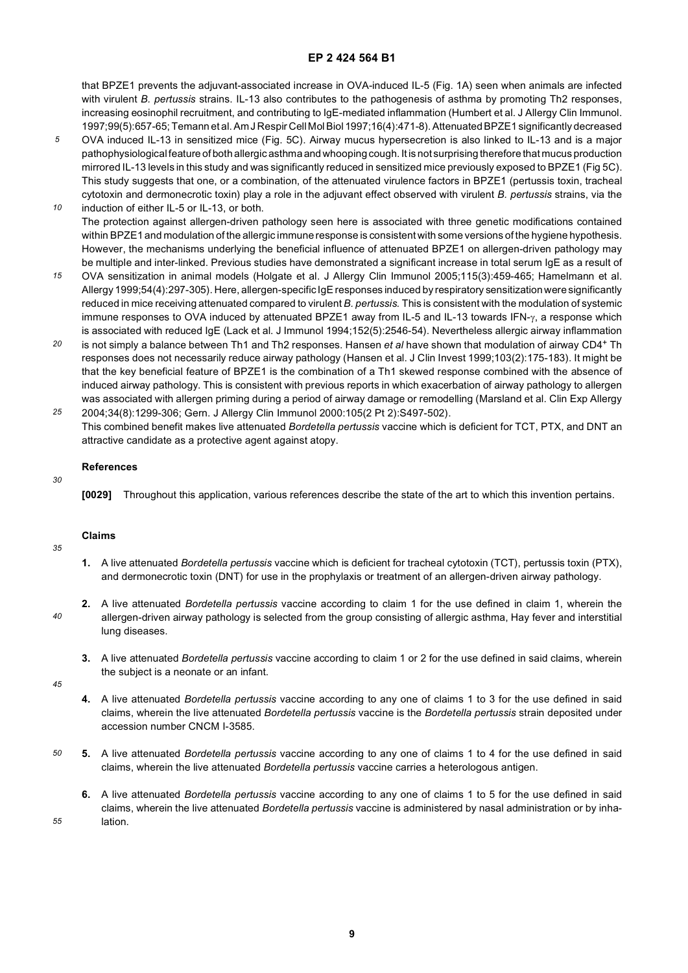that BPZE1 prevents the adjuvant-associated increase in OVA-induced IL-5 (Fig. 1A) seen when animals are infected with virulent *B. pertussis* strains. IL-13 also contributes to the pathogenesis of asthma by promoting Th2 responses, increasing eosinophil recruitment, and contributing to IgE-mediated inflammation (Humbert et al. J Allergy Clin Immunol. 1997;99(5):657-65; Temann et al. Am J Respir Cell Mol Biol 1997;16(4):471-8). Attenuated BPZE1 significantly decreased

- *5* OVA induced IL-13 in sensitized mice (Fig. 5C). Airway mucus hypersecretion is also linked to IL-13 and is a major pathophysiological feature of both allergic asthma and whooping cough. It is not surprising therefore that mucus production mirrored IL-13 levels in this study and was significantly reduced in sensitized mice previously exposed to BPZE1 (Fig 5C). This study suggests that one, or a combination, of the attenuated virulence factors in BPZE1 (pertussis toxin, tracheal cytotoxin and dermonecrotic toxin) play a role in the adjuvant effect observed with virulent *B. pertussis* strains, via the
- *10* induction of either IL-5 or IL-13, or both. The protection against allergen-driven pathology seen here is associated with three genetic modifications contained within BPZE1 and modulation of the allergic immune response is consistent with some versions of the hygiene hypothesis. However, the mechanisms underlying the beneficial influence of attenuated BPZE1 on allergen-driven pathology may be multiple and inter-linked. Previous studies have demonstrated a significant increase in total serum IgE as a result of
- *15* OVA sensitization in animal models (Holgate et al. J Allergy Clin Immunol 2005;115(3):459-465; Hamelmann et al. Allergy 1999;54(4):297-305). Here, allergen-specific IgE responses induced by respiratory sensitization were significantly reduced in mice receiving attenuated compared to virulent *B. pertussis.* This is consistent with the modulation of systemic immune responses to OVA induced by attenuated BPZE1 away from IL-5 and IL-13 towards IFN-γ, a response which is associated with reduced IgE (Lack et al. J Immunol 1994;152(5):2546-54). Nevertheless allergic airway inflammation
- *20* is not simply a balance between Th1 and Th2 responses. Hansen *et al* have shown that modulation of airway CD4+ Th responses does not necessarily reduce airway pathology (Hansen et al. J Clin Invest 1999;103(2):175-183). It might be that the key beneficial feature of BPZE1 is the combination of a Th1 skewed response combined with the absence of induced airway pathology. This is consistent with previous reports in which exacerbation of airway pathology to allergen was associated with allergen priming during a period of airway damage or remodelling (Marsland et al. Clin Exp Allergy
- *25* 2004;34(8):1299-306; Gern. J Allergy Clin Immunol 2000:105(2 Pt 2):S497-502). This combined benefit makes live attenuated *Bordetella pertussis* vaccine which is deficient for TCT, PTX, and DNT an attractive candidate as a protective agent against atopy.

#### **References**

**[0029]** Throughout this application, various references describe the state of the art to which this invention pertains.

### **Claims**

- **1.** A live attenuated *Bordetella pertussis* vaccine which is deficient for tracheal cytotoxin (TCT), pertussis toxin (PTX), and dermonecrotic toxin (DNT) for use in the prophylaxis or treatment of an allergen-driven airway pathology.
- *40* **2.** A live attenuated *Bordetella pertussis* vaccine according to claim 1 for the use defined in claim 1, wherein the allergen-driven airway pathology is selected from the group consisting of allergic asthma, Hay fever and interstitial lung diseases.
	- **3.** A live attenuated *Bordetella pertussis* vaccine according to claim 1 or 2 for the use defined in said claims, wherein the subject is a neonate or an infant.

*45*

*55*

*30*

*35*

- **4.** A live attenuated *Bordetella pertussis* vaccine according to any one of claims 1 to 3 for the use defined in said claims, wherein the live attenuated *Bordetella pertussis* vaccine is the *Bordetella pertussis* strain deposited under accession number CNCM I-3585.
- *50* **5.** A live attenuated *Bordetella pertussis* vaccine according to any one of claims 1 to 4 for the use defined in said claims, wherein the live attenuated *Bordetella pertussis* vaccine carries a heterologous antigen.
	- **6.** A live attenuated *Bordetella pertussis* vaccine according to any one of claims 1 to 5 for the use defined in said claims, wherein the live attenuated *Bordetella pertussis* vaccine is administered by nasal administration or by inhalation.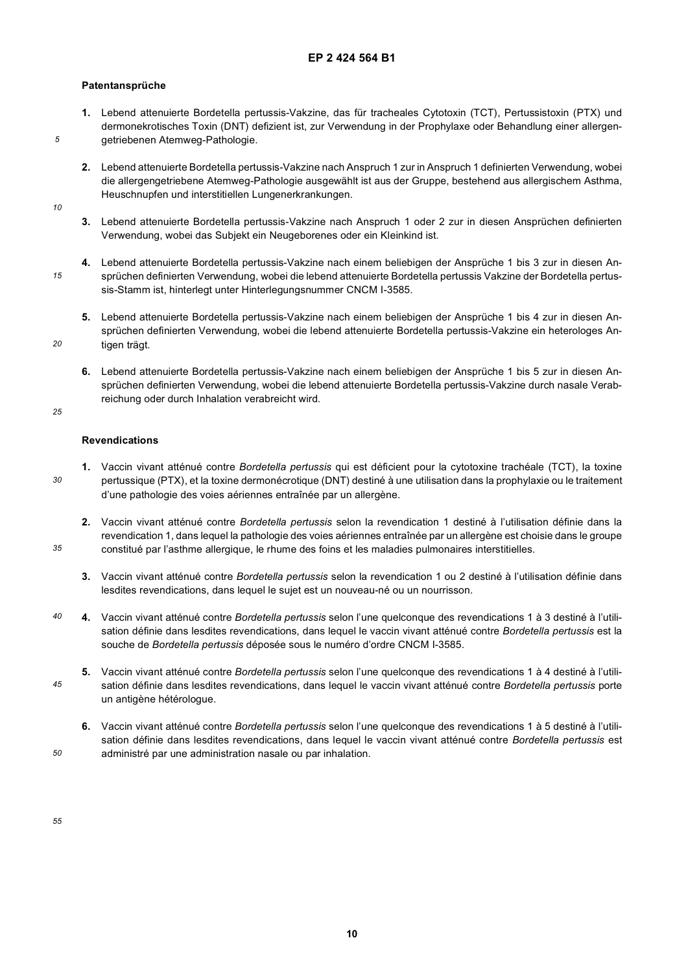# **Patentansprüche**

- **1.** Lebend attenuierte Bordetella pertussis-Vakzine, das für tracheales Cytotoxin (TCT), Pertussistoxin (PTX) und dermonekrotisches Toxin (DNT) defizient ist, zur Verwendung in der Prophylaxe oder Behandlung einer allergengetriebenen Atemweg-Pathologie.
- **2.** Lebend attenuierte Bordetella pertussis-Vakzine nach Anspruch 1 zur in Anspruch 1 definierten Verwendung, wobei die allergengetriebene Atemweg-Pathologie ausgewählt ist aus der Gruppe, bestehend aus allergischem Asthma, Heuschnupfen und interstitiellen Lungenerkrankungen.
- *10*

*15*

*20*

*5*

- **3.** Lebend attenuierte Bordetella pertussis-Vakzine nach Anspruch 1 oder 2 zur in diesen Ansprüchen definierten Verwendung, wobei das Subjekt ein Neugeborenes oder ein Kleinkind ist.
- **4.** Lebend attenuierte Bordetella pertussis-Vakzine nach einem beliebigen der Ansprüche 1 bis 3 zur in diesen Ansprüchen definierten Verwendung, wobei die lebend attenuierte Bordetella pertussis Vakzine der Bordetella pertussis-Stamm ist, hinterlegt unter Hinterlegungsnummer CNCM I-3585.
	- **5.** Lebend attenuierte Bordetella pertussis-Vakzine nach einem beliebigen der Ansprüche 1 bis 4 zur in diesen Ansprüchen definierten Verwendung, wobei die lebend attenuierte Bordetella pertussis-Vakzine ein heterologes Antigen trägt.
	- **6.** Lebend attenuierte Bordetella pertussis-Vakzine nach einem beliebigen der Ansprüche 1 bis 5 zur in diesen Ansprüchen definierten Verwendung, wobei die lebend attenuierte Bordetella pertussis-Vakzine durch nasale Verabreichung oder durch Inhalation verabreicht wird.
- *25*

*30*

*35*

*45*

*50*

#### **Revendications**

- **1.** Vaccin vivant atténué contre *Bordetella pertussis* qui est déficient pour la cytotoxine trachéale (TCT), la toxine pertussique (PTX), et la toxine dermonécrotique (DNT) destiné à une utilisation dans la prophylaxie ou le traitement d'une pathologie des voies aériennes entraînée par un allergène.
- **2.** Vaccin vivant atténué contre *Bordetella pertussis* selon la revendication 1 destiné à l'utilisation définie dans la revendication 1, dans lequel la pathologie des voies aériennes entraînée par un allergène est choisie dans le groupe constitué par l'asthme allergique, le rhume des foins et les maladies pulmonaires interstitielles.
	- **3.** Vaccin vivant atténué contre *Bordetella pertussis* selon la revendication 1 ou 2 destiné à l'utilisation définie dans lesdites revendications, dans lequel le sujet est un nouveau-né ou un nourrisson.
- *40* **4.** Vaccin vivant atténué contre *Bordetella pertussis* selon l'une quelconque des revendications 1 à 3 destiné à l'utilisation définie dans lesdites revendications, dans lequel le vaccin vivant atténué contre *Bordetella pertussis* est la souche de *Bordetella pertussis* déposée sous le numéro d'ordre CNCM I-3585.
	- **5.** Vaccin vivant atténué contre *Bordetella pertussis* selon l'une quelconque des revendications 1 à 4 destiné à l'utilisation définie dans lesdites revendications, dans lequel le vaccin vivant atténué contre *Bordetella pertussis* porte un antigène hétérologue.
		- **6.** Vaccin vivant atténué contre *Bordetella pertussis* selon l'une quelconque des revendications 1 à 5 destiné à l'utilisation définie dans lesdites revendications, dans lequel le vaccin vivant atténué contre *Bordetella pertussis* est administré par une administration nasale ou par inhalation.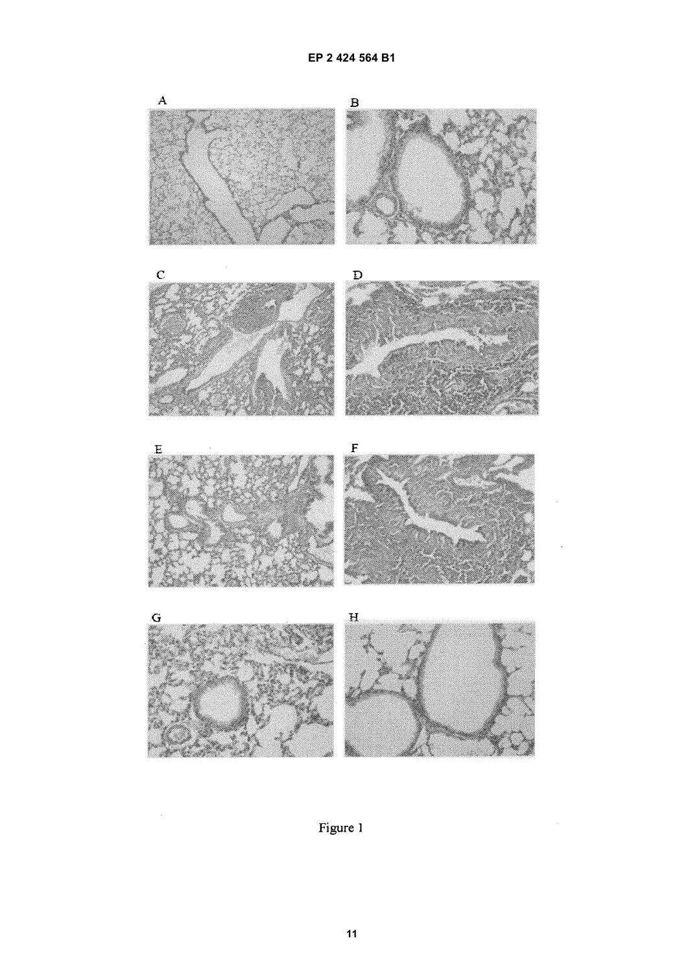

Figure 1

 $\bar{\mathcal{A}}$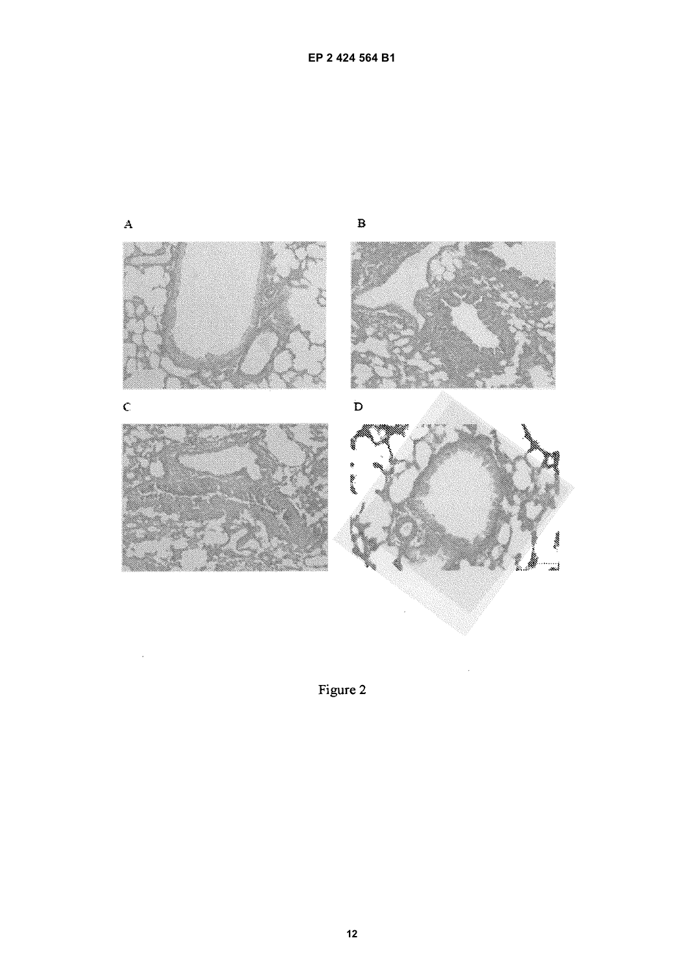

Figure 2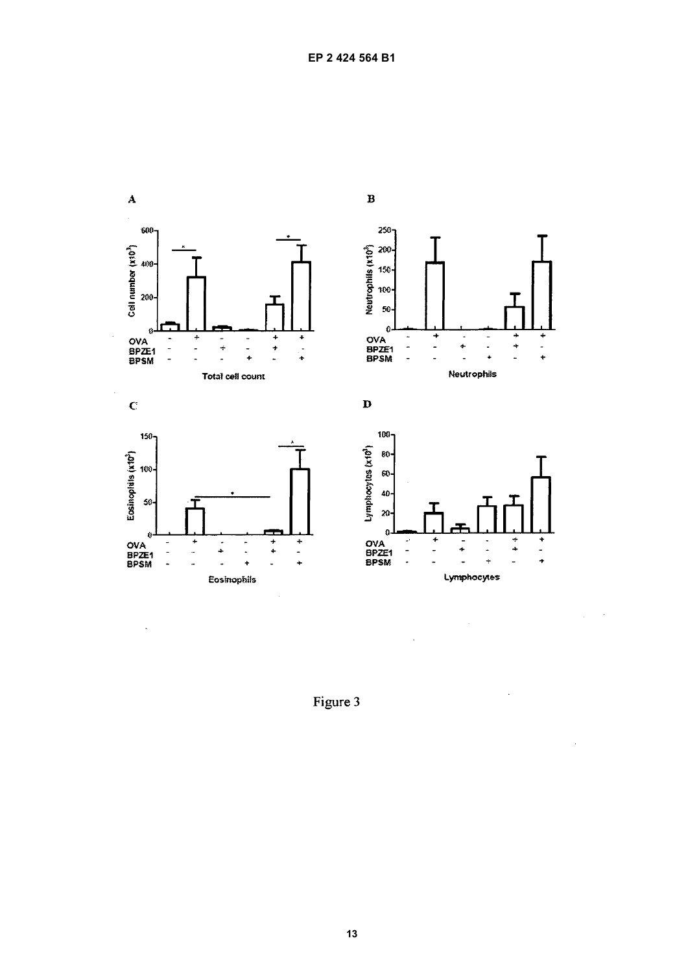

Figure 3

.

 $\bar{\phantom{a}}$ 

J.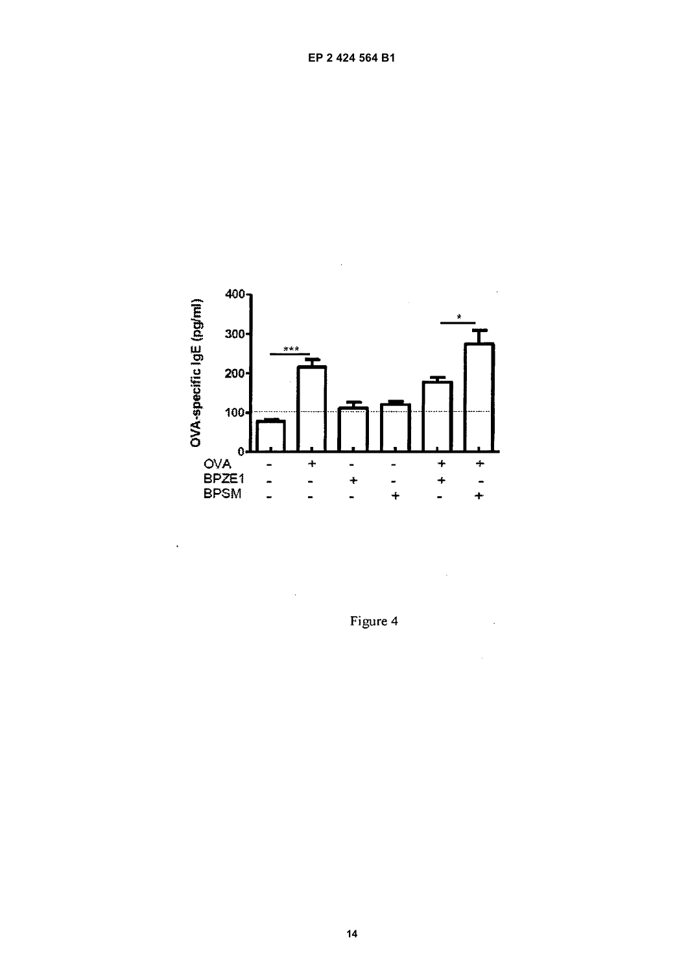

 $\ddot{\phantom{0}}$ 

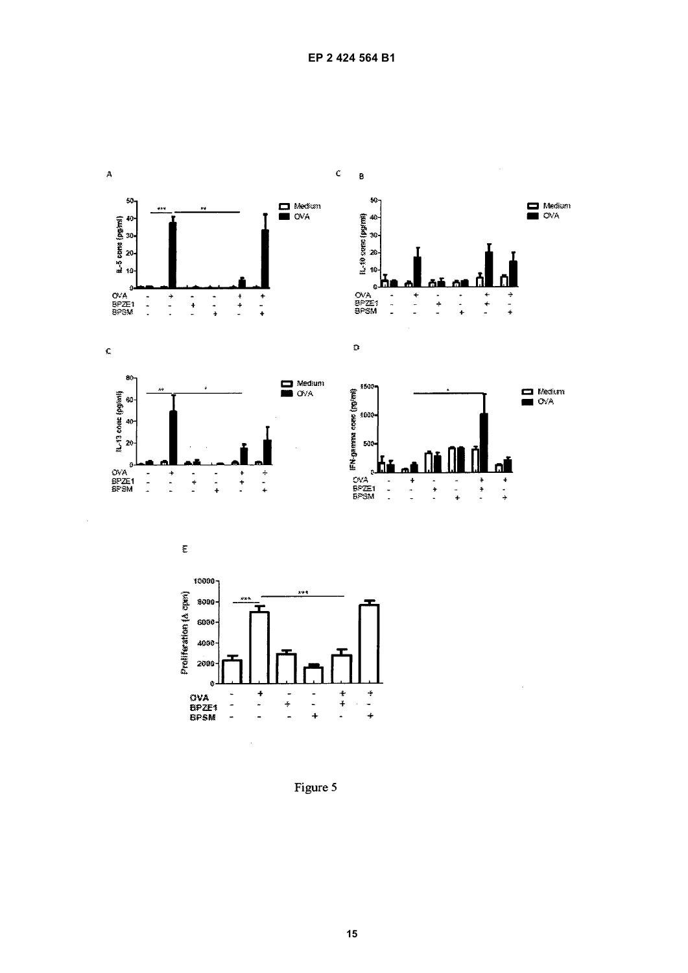





 $\begin{array}{c} + \\ + \\ + \end{array}$ 

 $\bar{\mathcal{A}}$ 

 $\begin{array}{c} + \\ + \\ + \end{array}$ 

 $\Box$  Medium

 $\blacksquare$  Medium



 $\bar{\gamma}$ 



Figure 5